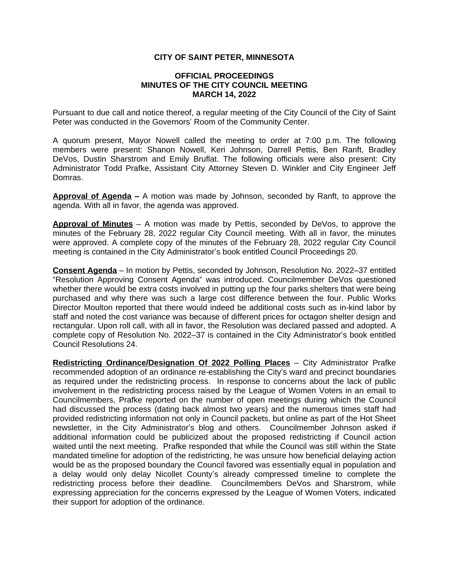## **CITY OF SAINT PETER, MINNESOTA**

## **OFFICIAL PROCEEDINGS MINUTES OF THE CITY COUNCIL MEETING MARCH 14, 2022**

Pursuant to due call and notice thereof, a regular meeting of the City Council of the City of Saint Peter was conducted in the Governors' Room of the Community Center.

A quorum present, Mayor Nowell called the meeting to order at 7:00 p.m. The following members were present: Shanon Nowell, Keri Johnson, Darrell Pettis, Ben Ranft, Bradley DeVos, Dustin Sharstrom and Emily Bruflat. The following officials were also present: City Administrator Todd Prafke, Assistant City Attorney Steven D. Winkler and City Engineer Jeff Domras.

**Approval of Agenda –** A motion was made by Johnson, seconded by Ranft, to approve the agenda. With all in favor, the agenda was approved.

**Approval of Minutes** – A motion was made by Pettis, seconded by DeVos, to approve the minutes of the February 28, 2022 regular City Council meeting. With all in favor, the minutes were approved. A complete copy of the minutes of the February 28, 2022 regular City Council meeting is contained in the City Administrator's book entitled Council Proceedings 20.

**Consent Agenda** – In motion by Pettis, seconded by Johnson, Resolution No. 2022–37 entitled "Resolution Approving Consent Agenda" was introduced. Councilmember DeVos questioned whether there would be extra costs involved in putting up the four parks shelters that were being purchased and why there was such a large cost difference between the four. Public Works Director Moulton reported that there would indeed be additional costs such as in-kind labor by staff and noted the cost variance was because of different prices for octagon shelter design and rectangular. Upon roll call, with all in favor, the Resolution was declared passed and adopted. A complete copy of Resolution No. 2022–37 is contained in the City Administrator's book entitled Council Resolutions 24.

**Redistricting Ordinance/Designation Of 2022 Polling Places** – City Administrator Prafke recommended adoption of an ordinance re-establishing the City's ward and precinct boundaries as required under the redistricting process. In response to concerns about the lack of public involvement in the redistricting process raised by the League of Women Voters in an email to Councilmembers, Prafke reported on the number of open meetings during which the Council had discussed the process (dating back almost two years) and the numerous times staff had provided redistricting information not only in Council packets, but online as part of the Hot Sheet newsletter, in the City Administrator's blog and others. Councilmember Johnson asked if additional information could be publicized about the proposed redistricting if Council action waited until the next meeting. Prafke responded that while the Council was still within the State mandated timeline for adoption of the redistricting, he was unsure how beneficial delaying action would be as the proposed boundary the Council favored was essentially equal in population and a delay would only delay Nicollet County's already compressed timeline to complete the redistricting process before their deadline. Councilmembers DeVos and Sharstrom, while expressing appreciation for the concerns expressed by the League of Women Voters, indicated their support for adoption of the ordinance.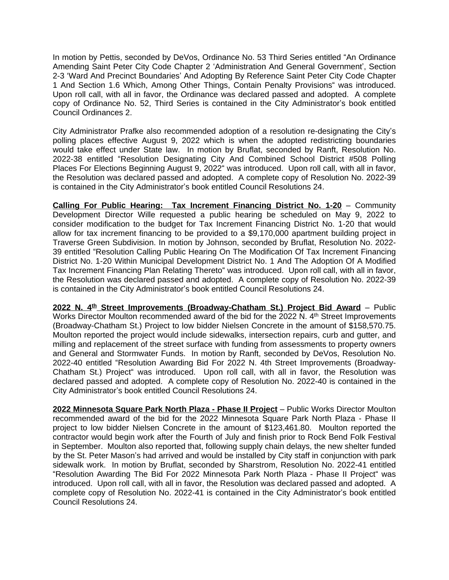In motion by Pettis, seconded by DeVos, Ordinance No. 53 Third Series entitled "An Ordinance Amending Saint Peter City Code Chapter 2 'Administration And General Government', Section 2-3 'Ward And Precinct Boundaries' And Adopting By Reference Saint Peter City Code Chapter 1 And Section 1.6 Which, Among Other Things, Contain Penalty Provisions" was introduced. Upon roll call, with all in favor, the Ordinance was declared passed and adopted. A complete copy of Ordinance No. 52, Third Series is contained in the City Administrator's book entitled Council Ordinances 2.

City Administrator Prafke also recommended adoption of a resolution re-designating the City's polling places effective August 9, 2022 which is when the adopted redistricting boundaries would take effect under State law. In motion by Bruflat, seconded by Ranft, Resolution No. 2022-38 entitled "Resolution Designating City And Combined School District #508 Polling Places For Elections Beginning August 9, 2022" was introduced. Upon roll call, with all in favor, the Resolution was declared passed and adopted. A complete copy of Resolution No. 2022-39 is contained in the City Administrator's book entitled Council Resolutions 24.

**Calling For Public Hearing: Tax Increment Financing District No. 1-20** – Community Development Director Wille requested a public hearing be scheduled on May 9, 2022 to consider modification to the budget for Tax Increment Financing District No. 1-20 that would allow for tax increment financing to be provided to a \$9,170,000 apartment building project in Traverse Green Subdivision. In motion by Johnson, seconded by Bruflat, Resolution No. 2022- 39 entitled "Resolution Calling Public Hearing On The Modification Of Tax Increment Financing District No. 1-20 Within Municipal Development District No. 1 And The Adoption Of A Modified Tax Increment Financing Plan Relating Thereto" was introduced. Upon roll call, with all in favor, the Resolution was declared passed and adopted. A complete copy of Resolution No. 2022-39 is contained in the City Administrator's book entitled Council Resolutions 24.

**2022 N. 4 th Street Improvements (Broadway-Chatham St.) Project Bid Award** – Public Works Director Moulton recommended award of the bid for the 2022 N. 4<sup>th</sup> Street Improvements (Broadway-Chatham St.) Project to low bidder Nielsen Concrete in the amount of \$158,570.75. Moulton reported the project would include sidewalks, intersection repairs, curb and gutter, and milling and replacement of the street surface with funding from assessments to property owners and General and Stormwater Funds. In motion by Ranft, seconded by DeVos, Resolution No. 2022-40 entitled "Resolution Awarding Bid For 2022 N. 4th Street Improvements (Broadway-Chatham St.) Project" was introduced. Upon roll call, with all in favor, the Resolution was declared passed and adopted. A complete copy of Resolution No. 2022-40 is contained in the City Administrator's book entitled Council Resolutions 24.

**2022 Minnesota Square Park North Plaza - Phase II Project** – Public Works Director Moulton recommended award of the bid for the 2022 Minnesota Square Park North Plaza - Phase II project to low bidder Nielsen Concrete in the amount of \$123,461.80. Moulton reported the contractor would begin work after the Fourth of July and finish prior to Rock Bend Folk Festival in September. Moulton also reported that, following supply chain delays, the new shelter funded by the St. Peter Mason's had arrived and would be installed by City staff in conjunction with park sidewalk work. In motion by Bruflat, seconded by Sharstrom, Resolution No. 2022-41 entitled "Resolution Awarding The Bid For 2022 Minnesota Park North Plaza - Phase II Project" was introduced. Upon roll call, with all in favor, the Resolution was declared passed and adopted. A complete copy of Resolution No. 2022-41 is contained in the City Administrator's book entitled Council Resolutions 24.